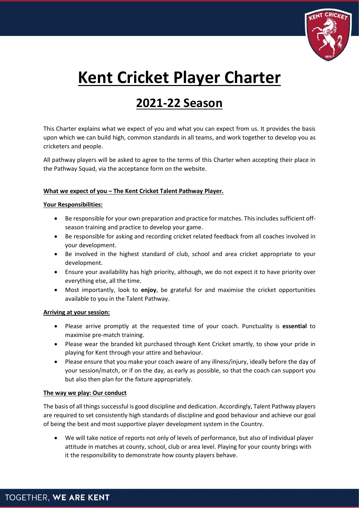

# **Kent Cricket Player Charter**

## **2021-22 Season**

This Charter explains what we expect of you and what you can expect from us. It provides the basis upon which we can build high, common standards in all teams, and work together to develop you as cricketers and people.

All pathway players will be asked to agree to the terms of this Charter when accepting their place in the Pathway Squad, via the acceptance form on the website.

### **What we expect of you – The Kent Cricket Talent Pathway Player.**

#### **Your Responsibilities:**

- Be responsible for your own preparation and practice for matches. This includes sufficient offseason training and practice to develop your game.
- Be responsible for asking and recording cricket related feedback from all coaches involved in your development.
- Be involved in the highest standard of club, school and area cricket appropriate to your development.
- Ensure your availability has high priority, although, we do not expect it to have priority over everything else, all the time.
- Most importantly, look to **enjoy**, be grateful for and maximise the cricket opportunities available to you in the Talent Pathway.

#### **Arriving at your session:**

- Please arrive promptly at the requested time of your coach. Punctuality is **essential** to maximise pre-match training.
- Please wear the branded kit purchased through Kent Cricket smartly, to show your pride in playing for Kent through your attire and behaviour.
- Please ensure that you make your coach aware of any illness/injury, ideally before the day of your session/match, or if on the day, as early as possible, so that the coach can support you but also then plan for the fixture appropriately.

#### **The way we play: Our conduct**

The basis of all things successful is good discipline and dedication. Accordingly, Talent Pathway players are required to set consistently high standards of discipline and good behaviour and achieve our goal of being the best and most supportive player development system in the Country.

• We will take notice of reports not only of levels of performance, but also of individual player attitude in matches at county, school, club or area level. Playing for your county brings with it the responsibility to demonstrate how county players behave.